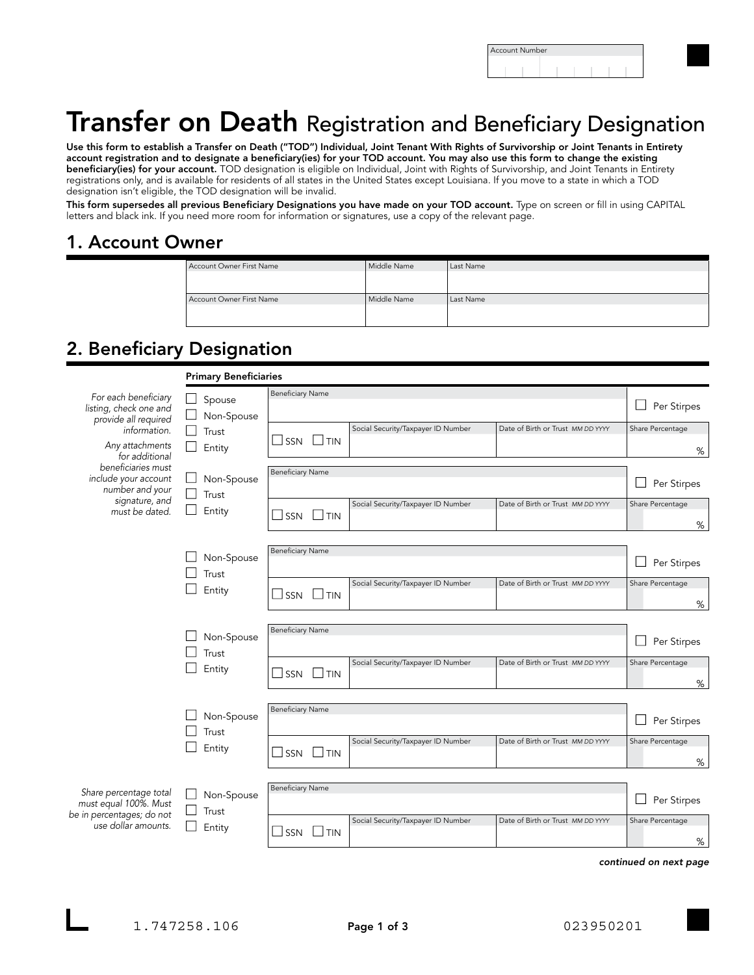| Account Number |  |  |  |  |  |  |  |  |
|----------------|--|--|--|--|--|--|--|--|
|                |  |  |  |  |  |  |  |  |

# Transfer on Death Registration and Beneficiary Designation

Use this form to establish a Transfer on Death ("TOD") Individual, Joint Tenant With Rights of Survivorship or Joint Tenants in Entirety account registration and to designate a beneficiary(ies) for your TOD account. You may also use this form to change the existing beneficiary(ies) for your account. TOD designation is eligible on Individual, Joint with Rights of Survivorship, and Joint Tenants in Entirety registrations only, and is available for residents of all states in the United States except Louisiana. If you move to a state in which a TOD designation isn't eligible, the TOD designation will be invalid.

This form supersedes all previous Beneficiary Designations you have made on your TOD account. Type on screen or fill in using CAPITAL letters and black ink. If you need more room for information or signatures, use a copy of the relevant page.

#### 1. Account Owner

| Account Owner First Name | Middle Name | Last Name |
|--------------------------|-------------|-----------|
| Account Owner First Name | Middle Name | Last Name |

## 2. Beneficiary Designation

|                                                                                                                                                        | <b>Primary Beneficiaries</b>            |                                                                                               |                       |
|--------------------------------------------------------------------------------------------------------------------------------------------------------|-----------------------------------------|-----------------------------------------------------------------------------------------------|-----------------------|
| For each beneficiary<br>listing, check one and<br>provide all required                                                                                 | Spouse<br>Non-Spouse<br>Trust<br>Entity | <b>Beneficiary Name</b>                                                                       | Per Stirpes<br>$\Box$ |
| information.<br>Any attachments<br>for additional<br>beneficiaries must<br>include your account<br>number and your<br>signature, and<br>must be dated. |                                         | Social Security/Taxpayer ID Number<br>Date of Birth or Trust MM DD YYYY<br> T N<br>l SSN      | Share Percentage<br>% |
|                                                                                                                                                        | Non-Spouse<br>Trust<br>Entity           | <b>Beneficiary Name</b>                                                                       | Per Stirpes           |
|                                                                                                                                                        |                                         | Social Security/Taxpayer ID Number<br>Date of Birth or Trust MM DD YYYY<br>SSN<br>$\perp$ tin | Share Percentage<br>% |
|                                                                                                                                                        | Non-Spouse<br>Trust<br>Entity           | <b>Beneficiary Name</b>                                                                       | Per Stirpes           |
|                                                                                                                                                        |                                         | Social Security/Taxpayer ID Number<br>Date of Birth or Trust MM DD YYYY<br>SSN<br>$\Box$ tin  | Share Percentage<br>% |
|                                                                                                                                                        | Non-Spouse<br>Trust<br>Entity           | <b>Beneficiary Name</b>                                                                       | Per Stirpes           |
|                                                                                                                                                        |                                         | Social Security/Taxpayer ID Number<br>Date of Birth or Trust MM DD YYYY<br>SSN<br>$\perp$ tin | Share Percentage<br>% |
|                                                                                                                                                        | Non-Spouse<br>Trust<br>Entity           | <b>Beneficiary Name</b>                                                                       | Per Stirpes           |
|                                                                                                                                                        |                                         | Social Security/Taxpayer ID Number<br>Date of Birth or Trust MM DD YYYY<br>$\perp$ TIN<br>SSN | Share Percentage<br>% |
| Share percentage total<br>must equal 100%. Must<br>be in percentages; do not<br>use dollar amounts.                                                    | Non-Spouse<br>Trust<br>Entity           | <b>Beneficiary Name</b>                                                                       | Per Stirpes           |
|                                                                                                                                                        |                                         | Social Security/Taxpayer ID Number<br>Date of Birth or Trust MM DD YYYY<br>SSN<br>$\perp$ tin | Share Percentage<br>% |
|                                                                                                                                                        |                                         |                                                                                               |                       |

*continued on next page*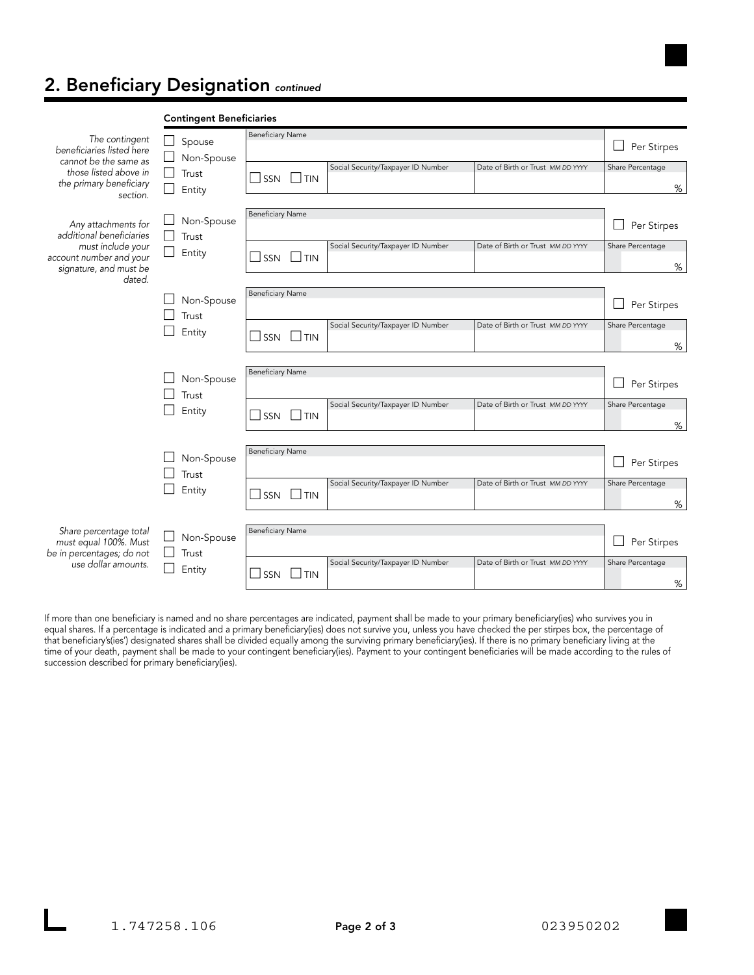## 2. Beneficiary Designation *continued*

|                                                                                                                           | <b>Contingent Beneficiaries</b>     |                                                                                                              |                       |
|---------------------------------------------------------------------------------------------------------------------------|-------------------------------------|--------------------------------------------------------------------------------------------------------------|-----------------------|
| The contingent<br>beneficiaries listed here                                                                               | Spouse<br>Non-Spouse                | <b>Beneficiary Name</b>                                                                                      | Per Stirpes           |
| cannot be the same as<br>those listed above in<br>the primary beneficiary<br>section.                                     | Trust<br>Entity                     | Social Security/Taxpayer ID Number<br>Date of Birth or Trust MM DD YYYY<br>$\Box$ tin<br>$\Box$ SSN          | Share Percentage<br>% |
| Any attachments for<br>additional beneficiaries<br>must include your<br>account number and your<br>signature, and must be | Non-Spouse<br>L.<br>Trust<br>Entity | <b>Beneficiary Name</b>                                                                                      | Per Stirpes           |
|                                                                                                                           |                                     | Social Security/Taxpayer ID Number<br>Date of Birth or Trust MM DD YYYY<br>$\Box$ tin<br>SSN                 | Share Percentage<br>% |
| dated.                                                                                                                    | Non-Spouse<br>Trust<br>Entity       | <b>Beneficiary Name</b>                                                                                      | Per Stirpes           |
|                                                                                                                           |                                     | Social Security/Taxpayer ID Number<br>Date of Birth or Trust MM DD YYYY<br>$\Box$ tin<br>$\Box$ SSN          | Share Percentage<br>% |
|                                                                                                                           | Non-Spouse<br>Trust<br>Entity       | <b>Beneficiary Name</b>                                                                                      | Per Stirpes           |
|                                                                                                                           |                                     | Social Security/Taxpayer ID Number<br>Date of Birth or Trust MM DD YYYY<br>$\Box$ tin<br>SSN<br>$\mathsf{L}$ | Share Percentage<br>% |
|                                                                                                                           | Non-Spouse<br>Trust<br>Entity       | <b>Beneficiary Name</b>                                                                                      | Per Stirpes           |
|                                                                                                                           |                                     | Date of Birth or Trust MM DD YYYY<br>Social Security/Taxpayer ID Number<br>$\mathsf{L}$<br>$\Box$ TIN<br>SSN | Share Percentage<br>% |
| Share percentage total<br>must equal 100%. Must<br>be in percentages; do not<br>use dollar amounts.                       | Non-Spouse<br>Trust                 | <b>Beneficiary Name</b>                                                                                      | Per Stirpes           |
|                                                                                                                           | Entity                              | Social Security/Taxpayer ID Number<br>Date of Birth or Trust MM DD YYYY<br>SSN<br><b>TIN</b>                 | Share Percentage<br>% |

If more than one beneficiary is named and no share percentages are indicated, payment shall be made to your primary beneficiary(ies) who survives you in equal shares. If a percentage is indicated and a primary beneficiary(ies) does not survive you, unless you have checked the per stirpes box, the percentage of that beneficiary's(ies') designated shares shall be divided equally among the surviving primary beneficiary(ies). If there is no primary beneficiary living at the time of your death, payment shall be made to your contingent beneficiary(ies). Payment to your contingent beneficiaries will be made according to the rules of succession described for primary beneficiary(ies).